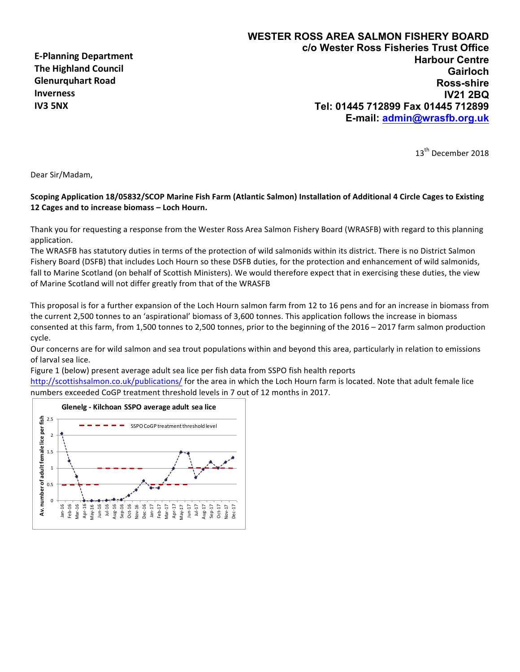**E-Planning Department The Highland Council Glenurquhart Road Inverness IV3 5NX**

13<sup>th</sup> December 2018

Dear Sir/Madam,

## Scoping Application 18/05832/SCOP Marine Fish Farm (Atlantic Salmon) Installation of Additional 4 Circle Cages to Existing 12 Cages and to increase biomass – Loch Hourn.

Thank you for requesting a response from the Wester Ross Area Salmon Fishery Board (WRASFB) with regard to this planning application. 

The WRASFB has statutory duties in terms of the protection of wild salmonids within its district. There is no District Salmon Fishery Board (DSFB) that includes Loch Hourn so these DSFB duties, for the protection and enhancement of wild salmonids, fall to Marine Scotland (on behalf of Scottish Ministers). We would therefore expect that in exercising these duties, the view of Marine Scotland will not differ greatly from that of the WRASFB

This proposal is for a further expansion of the Loch Hourn salmon farm from 12 to 16 pens and for an increase in biomass from the current 2,500 tonnes to an 'aspirational' biomass of 3,600 tonnes. This application follows the increase in biomass consented at this farm, from 1,500 tonnes to 2,500 tonnes, prior to the beginning of the 2016 – 2017 farm salmon production cycle.

Our concerns are for wild salmon and sea trout populations within and beyond this area, particularly in relation to emissions of larval sea lice.

Figure 1 (below) present average adult sea lice per fish data from SSPO fish health reports

http://scottishsalmon.co.uk/publications/ for the area in which the Loch Hourn farm is located. Note that adult female lice numbers exceeded CoGP treatment threshold levels in 7 out of 12 months in 2017.

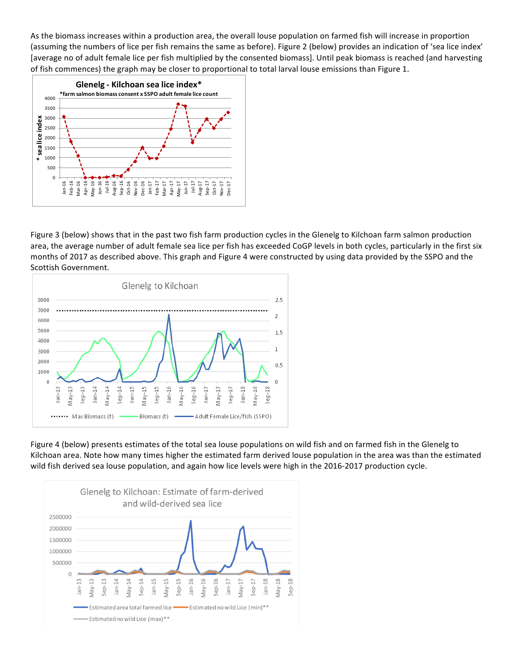As the biomass increases within a production area, the overall louse population on farmed fish will increase in proportion (assuming the numbers of lice per fish remains the same as before). Figure 2 (below) provides an indication of 'sea lice index' [average no of adult female lice per fish multiplied by the consented biomass]. Until peak biomass is reached (and harvesting of fish commences) the graph may be closer to proportional to total larval louse emissions than Figure 1.



Figure 3 (below) shows that in the past two fish farm production cycles in the Glenelg to Kilchoan farm salmon production area, the average number of adult female sea lice per fish has exceeded CoGP levels in both cycles, particularly in the first six months of 2017 as described above. This graph and Figure 4 were constructed by using data provided by the SSPO and the Scottish Government.



Figure 4 (below) presents estimates of the total sea louse populations on wild fish and on farmed fish in the Glenelg to Kilchoan area. Note how many times higher the estimated farm derived louse population in the area was than the estimated wild fish derived sea louse population, and again how lice levels were high in the 2016-2017 production cycle.

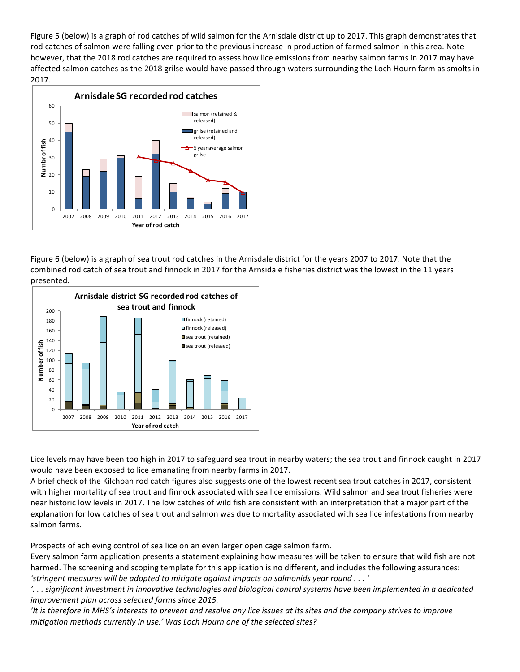Figure 5 (below) is a graph of rod catches of wild salmon for the Arnisdale district up to 2017. This graph demonstrates that rod catches of salmon were falling even prior to the previous increase in production of farmed salmon in this area. Note however, that the 2018 rod catches are required to assess how lice emissions from nearby salmon farms in 2017 may have affected salmon catches as the 2018 grilse would have passed through waters surrounding the Loch Hourn farm as smolts in 2017. 



Figure 6 (below) is a graph of sea trout rod catches in the Arnisdale district for the years 2007 to 2017. Note that the combined rod catch of sea trout and finnock in 2017 for the Arnsidale fisheries district was the lowest in the 11 years presented. 



Lice levels may have been too high in 2017 to safeguard sea trout in nearby waters; the sea trout and finnock caught in 2017 would have been exposed to lice emanating from nearby farms in 2017.

A brief check of the Kilchoan rod catch figures also suggests one of the lowest recent sea trout catches in 2017, consistent with higher mortality of sea trout and finnock associated with sea lice emissions. Wild salmon and sea trout fisheries were near historic low levels in 2017. The low catches of wild fish are consistent with an interpretation that a major part of the explanation for low catches of sea trout and salmon was due to mortality associated with sea lice infestations from nearby salmon farms.

Prospects of achieving control of sea lice on an even larger open cage salmon farm.

Every salmon farm application presents a statement explaining how measures will be taken to ensure that wild fish are not harmed. The screening and scoping template for this application is no different, and includes the following assurances: 'stringent measures will be adopted to mitigate against impacts on salmonids year round . . . '

'... significant investment in innovative technologies and biological control systems have been implemented in a dedicated *improvement plan across selected farms since 2015.* 

It is therefore in MHS's interests to prevent and resolve any lice issues at its sites and the company strives to improve *mitigation methods currently in use.'* Was Loch Hourn one of the selected sites?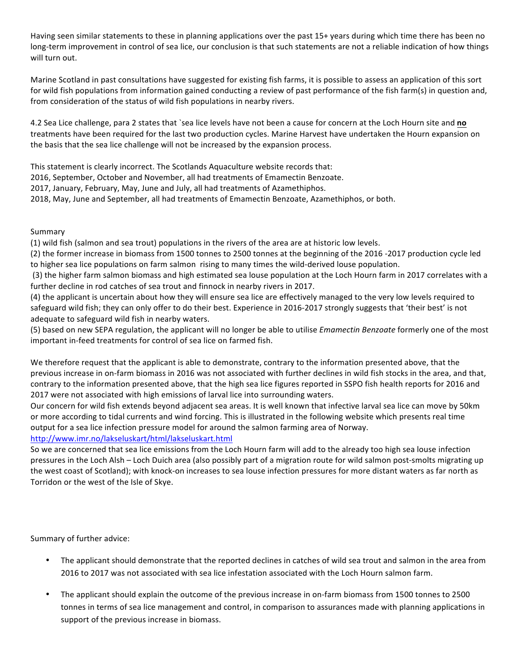Having seen similar statements to these in planning applications over the past 15+ years during which time there has been no long-term improvement in control of sea lice, our conclusion is that such statements are not a reliable indication of how things will turn out.

Marine Scotland in past consultations have suggested for existing fish farms, it is possible to assess an application of this sort for wild fish populations from information gained conducting a review of past performance of the fish farm(s) in question and, from consideration of the status of wild fish populations in nearby rivers.

4.2 Sea Lice challenge, para 2 states that `sea lice levels have not been a cause for concern at the Loch Hourn site and no treatments have been required for the last two production cycles. Marine Harvest have undertaken the Hourn expansion on the basis that the sea lice challenge will not be increased by the expansion process.

This statement is clearly incorrect. The Scotlands Aquaculture website records that:

2016, September, October and November, all had treatments of Emamectin Benzoate.

2017, January, February, May, June and July, all had treatments of Azamethiphos.

2018, May, June and September, all had treatments of Emamectin Benzoate, Azamethiphos, or both.

Summary

(1) wild fish (salmon and sea trout) populations in the rivers of the area are at historic low levels.

(2) the former increase in biomass from 1500 tonnes to 2500 tonnes at the beginning of the 2016 -2017 production cycle led to higher sea lice populations on farm salmon rising to many times the wild-derived louse population.

(3) the higher farm salmon biomass and high estimated sea louse population at the Loch Hourn farm in 2017 correlates with a further decline in rod catches of sea trout and finnock in nearby rivers in 2017.

(4) the applicant is uncertain about how they will ensure sea lice are effectively managed to the very low levels required to safeguard wild fish; they can only offer to do their best. Experience in 2016-2017 strongly suggests that 'their best' is not adequate to safeguard wild fish in nearby waters.

(5) based on new SEPA regulation, the applicant will no longer be able to utilise *Emamectin Benzoate* formerly one of the most important in-feed treatments for control of sea lice on farmed fish.

We therefore request that the applicant is able to demonstrate, contrary to the information presented above, that the previous increase in on-farm biomass in 2016 was not associated with further declines in wild fish stocks in the area, and that, contrary to the information presented above, that the high sea lice figures reported in SSPO fish health reports for 2016 and 2017 were not associated with high emissions of larval lice into surrounding waters.

Our concern for wild fish extends beyond adjacent sea areas. It is well known that infective larval sea lice can move by 50km or more according to tidal currents and wind forcing. This is illustrated in the following website which presents real time output for a sea lice infection pressure model for around the salmon farming area of Norway.

http://www.imr.no/lakseluskart/html/lakseluskart.html

So we are concerned that sea lice emissions from the Loch Hourn farm will add to the already too high sea louse infection pressures in the Loch Alsh – Loch Duich area (also possibly part of a migration route for wild salmon post-smolts migrating up the west coast of Scotland); with knock-on increases to sea louse infection pressures for more distant waters as far north as Torridon or the west of the Isle of Skye.

Summary of further advice:

- The applicant should demonstrate that the reported declines in catches of wild sea trout and salmon in the area from 2016 to 2017 was not associated with sea lice infestation associated with the Loch Hourn salmon farm.
- The applicant should explain the outcome of the previous increase in on-farm biomass from 1500 tonnes to 2500 tonnes in terms of sea lice management and control, in comparison to assurances made with planning applications in support of the previous increase in biomass.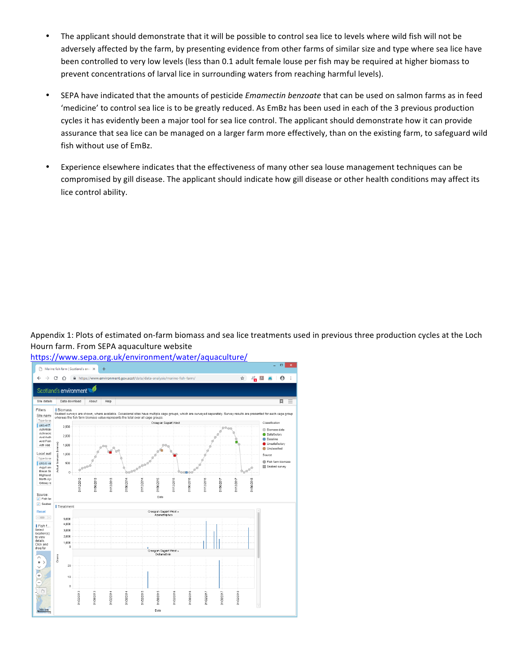- The applicant should demonstrate that it will be possible to control sea lice to levels where wild fish will not be adversely affected by the farm, by presenting evidence from other farms of similar size and type where sea lice have been controlled to very low levels (less than 0.1 adult female louse per fish may be required at higher biomass to prevent concentrations of larval lice in surrounding waters from reaching harmful levels).
- SEPA have indicated that the amounts of pesticide *Emamectin benzoate* that can be used on salmon farms as in feed 'medicine' to control sea lice is to be greatly reduced. As EmBz has been used in each of the 3 previous production cycles it has evidently been a major tool for sea lice control. The applicant should demonstrate how it can provide assurance that sea lice can be managed on a larger farm more effectively, than on the existing farm, to safeguard wild fish without use of EmBz.
- Experience elsewhere indicates that the effectiveness of many other sea louse management techniques can be compromised by gill disease. The applicant should indicate how gill disease or other health conditions may affect its lice control ability.

Appendix 1: Plots of estimated on-farm biomass and sea lice treatments used in previous three production cycles at the Loch Hourn farm. From SEPA aquaculture website



https://www.sepa.org.uk/environment/water/aquaculture/